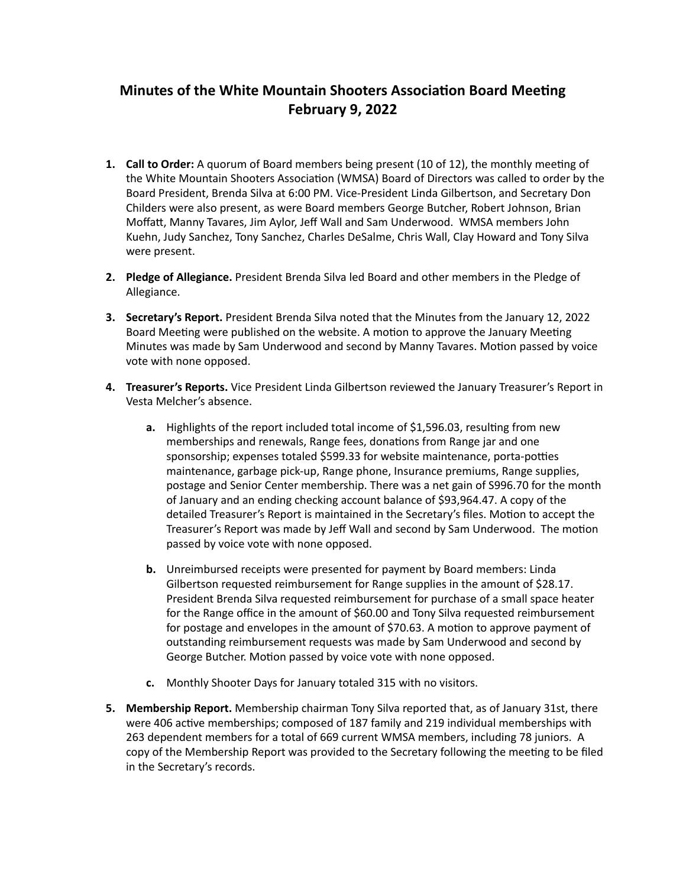## **Minutes of the White Mountain Shooters Association Board Meeting February 9, 2022**

- 1. **Call to Order:** A quorum of Board members being present (10 of 12), the monthly meeting of the White Mountain Shooters Association (WMSA) Board of Directors was called to order by the Board President, Brenda Silva at 6:00 PM. Vice-President Linda Gilbertson, and Secretary Don Childers were also present, as were Board members George Butcher, Robert Johnson, Brian Moffatt, Manny Tavares, Jim Aylor, Jeff Wall and Sam Underwood. WMSA members John Kuehn, Judy Sanchez, Tony Sanchez, Charles DeSalme, Chris Wall, Clay Howard and Tony Silva were present.
- **2.** Pledge of Allegiance. President Brenda Silva led Board and other members in the Pledge of Allegiance.
- **3. Secretary's Report.** President Brenda Silva noted that the Minutes from the January 12, 2022 Board Meeting were published on the website. A motion to approve the January Meeting Minutes was made by Sam Underwood and second by Manny Tavares. Motion passed by voice vote with none opposed.
- 4. Treasurer's Reports. Vice President Linda Gilbertson reviewed the January Treasurer's Report in Vesta Melcher's absence.
	- **a.** Highlights of the report included total income of \$1,596.03, resulting from new memberships and renewals, Range fees, donations from Range jar and one sponsorship; expenses totaled \$599.33 for website maintenance, porta-potties maintenance, garbage pick-up, Range phone, Insurance premiums, Range supplies, postage and Senior Center membership. There was a net gain of S996.70 for the month of January and an ending checking account balance of \$93,964.47. A copy of the detailed Treasurer's Report is maintained in the Secretary's files. Motion to accept the Treasurer's Report was made by Jeff Wall and second by Sam Underwood. The motion passed by voice vote with none opposed.
	- **b.** Unreimbursed receipts were presented for payment by Board members: Linda Gilbertson requested reimbursement for Range supplies in the amount of \$28.17. President Brenda Silva requested reimbursement for purchase of a small space heater for the Range office in the amount of \$60.00 and Tony Silva requested reimbursement for postage and envelopes in the amount of \$70.63. A motion to approve payment of outstanding reimbursement requests was made by Sam Underwood and second by George Butcher. Motion passed by voice vote with none opposed.
	- **c.** Monthly Shooter Days for January totaled 315 with no visitors.
- **5.** Membership Report. Membership chairman Tony Silva reported that, as of January 31st, there were 406 active memberships; composed of 187 family and 219 individual memberships with 263 dependent members for a total of 669 current WMSA members, including 78 juniors. A copy of the Membership Report was provided to the Secretary following the meeting to be filed in the Secretary's records.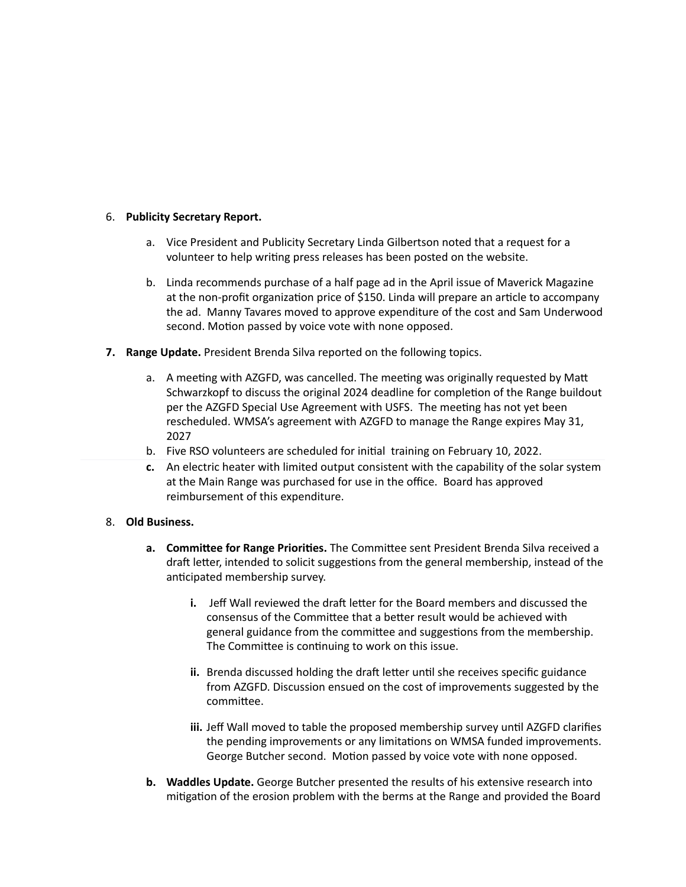## 6. **Publicity Secretary Report.**

- a. Vice President and Publicity Secretary Linda Gilbertson noted that a request for a volunteer to help writing press releases has been posted on the website.
- b. Linda recommends purchase of a half page ad in the April issue of Maverick Magazine at the non-profit organization price of \$150. Linda will prepare an article to accompany the ad. Manny Tavares moved to approve expenditure of the cost and Sam Underwood second. Motion passed by voice vote with none opposed.
- **7. Range Update.** President Brenda Silva reported on the following topics.
	- a. A meeting with AZGFD, was cancelled. The meeting was originally requested by Matt Schwarzkopf to discuss the original 2024 deadline for completion of the Range buildout per the AZGFD Special Use Agreement with USFS. The meeting has not yet been rescheduled. WMSA's agreement with AZGFD to manage the Range expires May 31, 2027
	- b. Five RSO volunteers are scheduled for initial training on February 10, 2022.
	- **c.** An electric heater with limited output consistent with the capability of the solar system at the Main Range was purchased for use in the office. Board has approved reimbursement of this expenditure.
- 8. Old Business.
	- **a. Committee for Range Priorities.** The Committee sent President Brenda Silva received a draft letter, intended to solicit suggestions from the general membership, instead of the anticipated membership survey.
		- **i.** Jeff Wall reviewed the draft letter for the Board members and discussed the consensus of the Committee that a better result would be achieved with general guidance from the committee and suggestions from the membership. The Committee is continuing to work on this issue.
		- **ii.** Brenda discussed holding the draft letter until she receives specific guidance from AZGFD. Discussion ensued on the cost of improvements suggested by the committee.
		- **iii.** Jeff Wall moved to table the proposed membership survey until AZGFD clarifies the pending improvements or any limitations on WMSA funded improvements. George Butcher second. Motion passed by voice vote with none opposed.
	- **b.** Waddles Update. George Butcher presented the results of his extensive research into mitigation of the erosion problem with the berms at the Range and provided the Board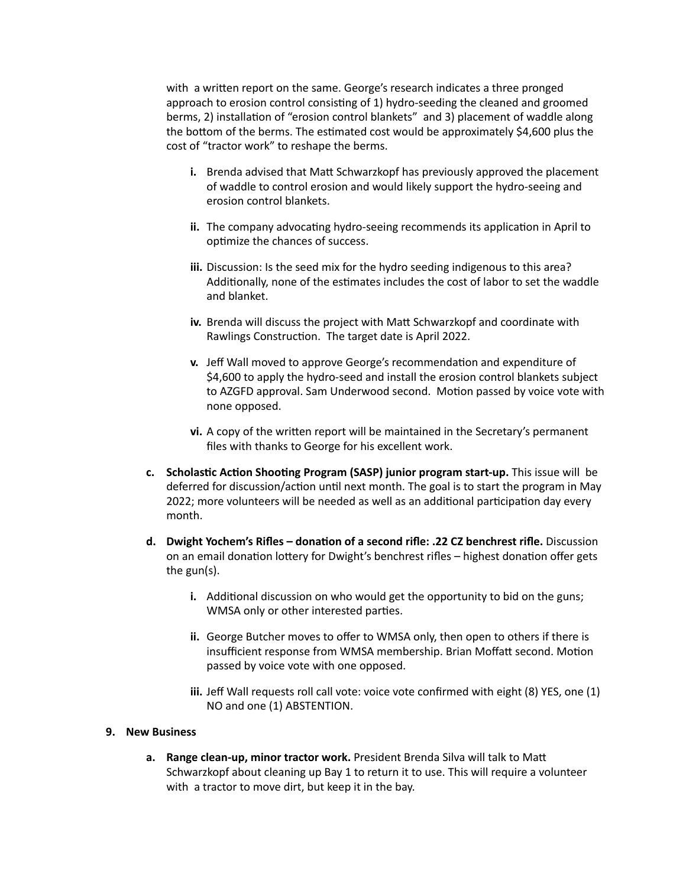with a written report on the same. George's research indicates a three pronged approach to erosion control consisting of 1) hydro-seeding the cleaned and groomed berms, 2) installation of "erosion control blankets" and 3) placement of waddle along the bottom of the berms. The estimated cost would be approximately \$4,600 plus the cost of "tractor work" to reshape the berms.

- **i.** Brenda advised that Matt Schwarzkopf has previously approved the placement of waddle to control erosion and would likely support the hydro-seeing and erosion control blankets.
- **ii.** The company advocating hydro-seeing recommends its application in April to optimize the chances of success.
- **iii.** Discussion: Is the seed mix for the hydro seeding indigenous to this area? Additionally, none of the estimates includes the cost of labor to set the waddle and blanket.
- **iv.** Brenda will discuss the project with Matt Schwarzkopf and coordinate with Rawlings Construction. The target date is April 2022.
- **v.** Jeff Wall moved to approve George's recommendation and expenditure of \$4,600 to apply the hydro-seed and install the erosion control blankets subject to AZGFD approval. Sam Underwood second. Motion passed by voice vote with none opposed.
- **vi.** A copy of the written report will be maintained in the Secretary's permanent files with thanks to George for his excellent work.
- **c. Scholastic Action Shooting Program (SASP) junior program start-up.** This issue will be deferred for discussion/action until next month. The goal is to start the program in May 2022; more volunteers will be needed as well as an additional participation day every month.
- **d.** Dwight Yochem's Rifles donation of a second rifle: .22 CZ benchrest rifle. Discussion on an email donation lottery for Dwight's benchrest rifles – highest donation offer gets the  $gun(s)$ .
	- **i.** Additional discussion on who would get the opportunity to bid on the guns; WMSA only or other interested parties.
	- **ii.** George Butcher moves to offer to WMSA only, then open to others if there is insufficient response from WMSA membership. Brian Moffatt second. Motion passed by voice vote with one opposed.
	- **iii.** Jeff Wall requests roll call vote: voice vote confirmed with eight (8) YES, one (1) NO and one (1) ABSTENTION.

## **9. New Business**

a. Range clean-up, minor tractor work. President Brenda Silva will talk to Matt Schwarzkopf about cleaning up Bay 1 to return it to use. This will require a volunteer with a tractor to move dirt, but keep it in the bay.